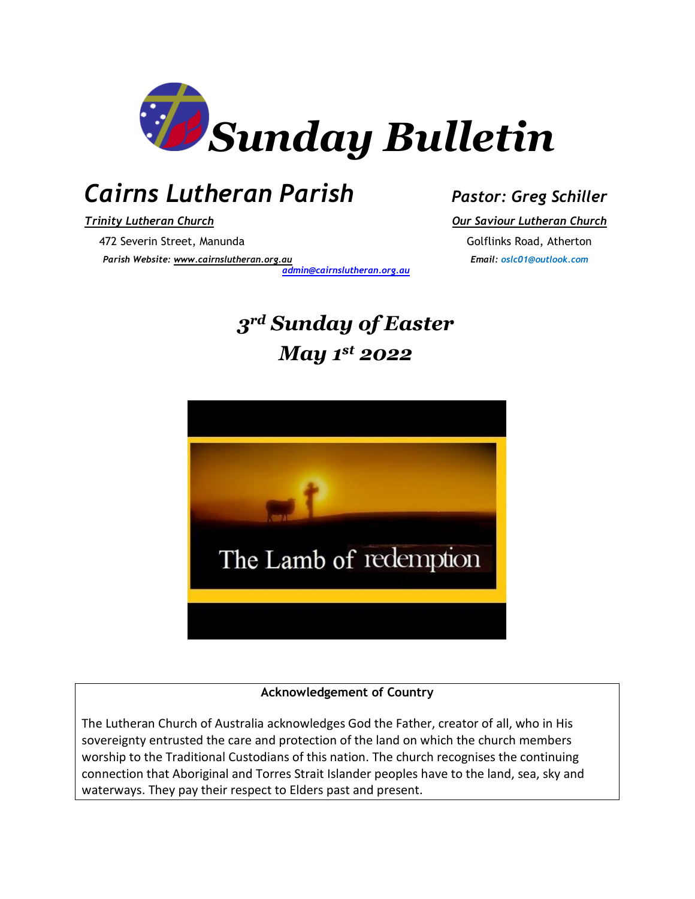

## *Cairns Lutheran Parish Pastor: Greg Schiller*

472 Severin Street, Manunda Golflinks Road, Atherton *Parish Website: [www.cairnslutheran.org.au](about:blank) Email: oslc01@outlook.com*

*[admin@cairnslutheran.org.au](mailto:admin@cairnslutheran.org.au)*

*Trinity Lutheran Church Our Saviour Lutheran Church*

## *3rd Sunday of Easter May 1st 2022*



#### **Acknowledgement of Country**

The Lutheran Church of Australia acknowledges God the Father, creator of all, who in His sovereignty entrusted the care and protection of the land on which the church members worship to the Traditional Custodians of this nation. The church recognises the continuing connection that Aboriginal and Torres Strait Islander peoples have to the land, sea, sky and waterways. They pay their respect to Elders past and present.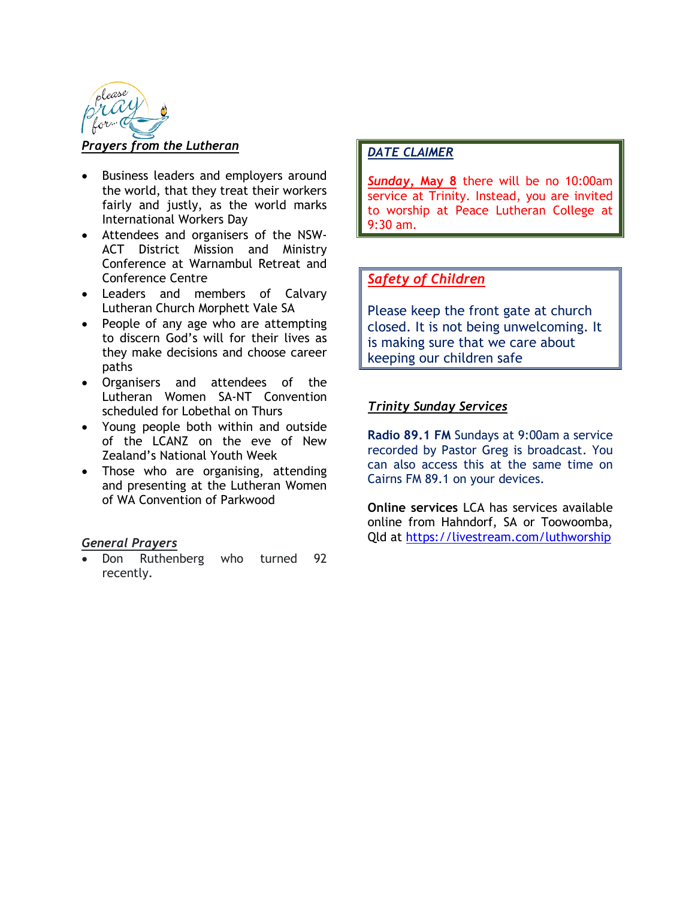

#### *Prayers from the Lutheran*

- Business leaders and employers around the world, that they treat their workers fairly and justly, as the world marks International Workers Day
- Attendees and organisers of the NSW-ACT District Mission and Ministry Conference at Warnambul Retreat and Conference Centre
- Leaders and members of Calvary Lutheran Church Morphett Vale SA
- People of any age who are attempting to discern God's will for their lives as they make decisions and choose career paths
- Organisers and attendees of the Lutheran Women SA-NT Convention scheduled for Lobethal on Thurs
- Young people both within and outside of the LCANZ on the eve of New Zealand's National Youth Week
- Those who are organising, attending and presenting at the Lutheran Women of WA Convention of Parkwood

#### *General Prayers*

Don Ruthenberg who turned 92 recently.

#### *DATE CLAIMER*

*Sunday,* **May 8** there will be no 10:00am service at Trinity. Instead, you are invited to worship at Peace Lutheran College at 9:30 am.

#### *Safety of Children*

Please keep the front gate at church closed. It is not being unwelcoming. It is making sure that we care about keeping our children safe

#### *Trinity Sunday Services*

**Radio 89.1 FM** Sundays at 9:00am a service recorded by Pastor Greg is broadcast. You can also access this at the same time on Cairns FM 89.1 on your devices.

**Online services** LCA has services available online from Hahndorf, SA or Toowoomba, Qld at<https://livestream.com/luthworship>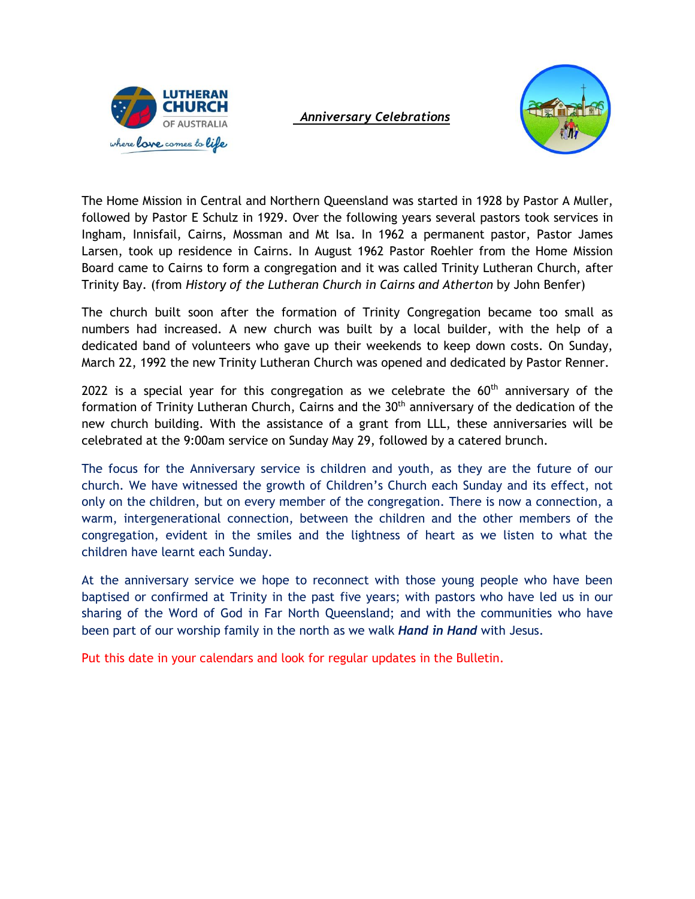

#### *Anniversary Celebrations*



The Home Mission in Central and Northern Queensland was started in 1928 by Pastor A Muller, followed by Pastor E Schulz in 1929. Over the following years several pastors took services in Ingham, Innisfail, Cairns, Mossman and Mt Isa. In 1962 a permanent pastor, Pastor James Larsen, took up residence in Cairns. In August 1962 Pastor Roehler from the Home Mission Board came to Cairns to form a congregation and it was called Trinity Lutheran Church, after Trinity Bay. (from *History of the Lutheran Church in Cairns and Atherton* by John Benfer)

The church built soon after the formation of Trinity Congregation became too small as numbers had increased. A new church was built by a local builder, with the help of a dedicated band of volunteers who gave up their weekends to keep down costs. On Sunday, March 22, 1992 the new Trinity Lutheran Church was opened and dedicated by Pastor Renner.

2022 is a special year for this congregation as we celebrate the  $60<sup>th</sup>$  anniversary of the formation of Trinity Lutheran Church, Cairns and the 30<sup>th</sup> anniversary of the dedication of the new church building. With the assistance of a grant from LLL, these anniversaries will be celebrated at the 9:00am service on Sunday May 29, followed by a catered brunch.

The focus for the Anniversary service is children and youth, as they are the future of our church. We have witnessed the growth of Children's Church each Sunday and its effect, not only on the children, but on every member of the congregation. There is now a connection, a warm, intergenerational connection, between the children and the other members of the congregation, evident in the smiles and the lightness of heart as we listen to what the children have learnt each Sunday.

At the anniversary service we hope to reconnect with those young people who have been baptised or confirmed at Trinity in the past five years; with pastors who have led us in our sharing of the Word of God in Far North Queensland; and with the communities who have been part of our worship family in the north as we walk *Hand in Hand* with Jesus.

Put this date in your calendars and look for regular updates in the Bulletin.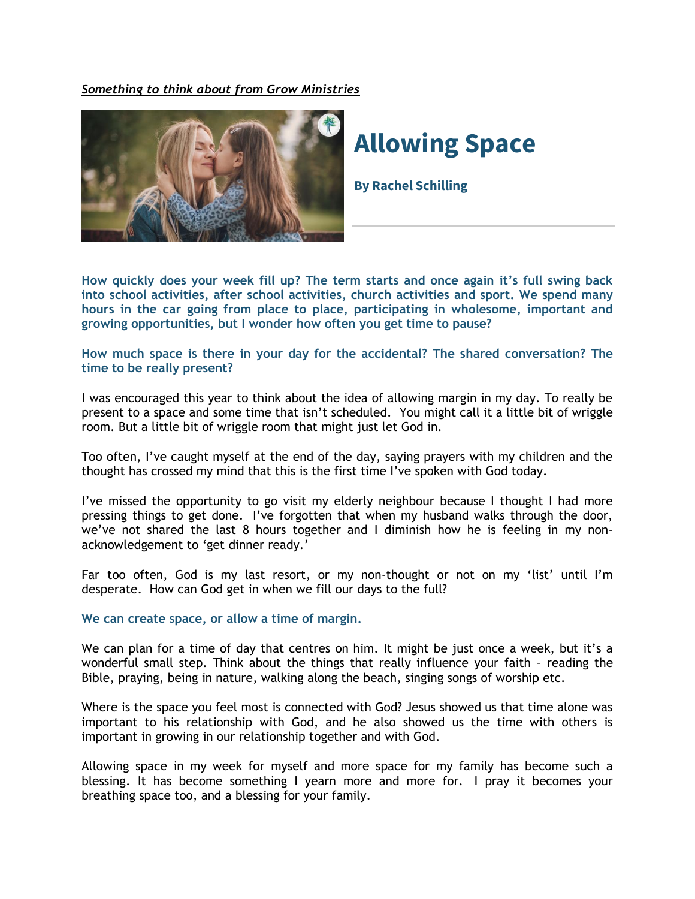*Something to think about from Grow Ministries*



# **Allowing Space**

**By Rachel Schilling**

**How quickly does your week fill up? The term starts and once again it's full swing back into school activities, after school activities, church activities and sport. We spend many hours in the car going from place to place, participating in wholesome, important and growing opportunities, but I wonder how often you get time to pause?**

**How much space is there in your day for the accidental? The shared conversation? The time to be really present?**

I was encouraged this year to think about the idea of allowing margin in my day. To really be present to a space and some time that isn't scheduled. You might call it a little bit of wriggle room. But a little bit of wriggle room that might just let God in.

Too often, I've caught myself at the end of the day, saying prayers with my children and the thought has crossed my mind that this is the first time I've spoken with God today.

I've missed the opportunity to go visit my elderly neighbour because I thought I had more pressing things to get done. I've forgotten that when my husband walks through the door, we've not shared the last 8 hours together and I diminish how he is feeling in my nonacknowledgement to 'get dinner ready.'

Far too often, God is my last resort, or my non-thought or not on my 'list' until I'm desperate. How can God get in when we fill our days to the full?

**We can create space, or allow a time of margin.**

We can plan for a time of day that centres on him. It might be just once a week, but it's a wonderful small step. Think about the things that really influence your faith – reading the Bible, praying, being in nature, walking along the beach, singing songs of worship etc.

Where is the space you feel most is connected with God? Jesus showed us that time alone was important to his relationship with God, and he also showed us the time with others is important in growing in our relationship together and with God.

Allowing space in my week for myself and more space for my family has become such a blessing. It has become something I yearn more and more for. I pray it becomes your breathing space too, and a blessing for your family.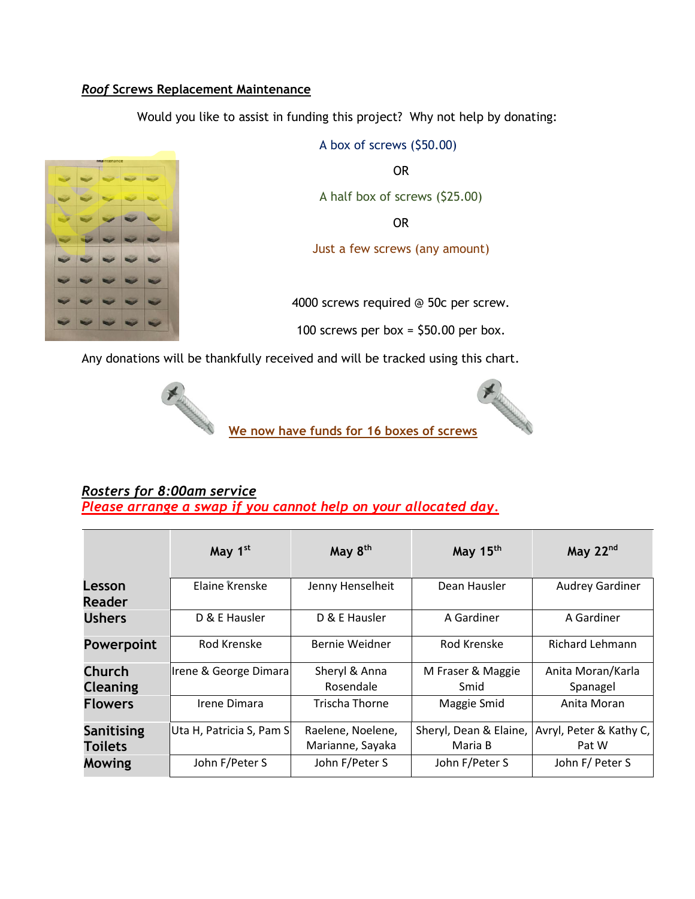### *Roof* **Screws Replacement Maintenance**

Would you like to assist in funding this project? Why not help by donating:



A box of screws (\$50.00) OR A half box of screws (\$25.00) OR

Just a few screws (any amount)

4000 screws required @ 50c per screw.

100 screws per box =  $$50.00$  per box.

Any donations will be thankfully received and will be tracked using this chart.





#### *Rosters for 8:00am service Please arrange a swap if you cannot help on your allocated day.*

|                                  | May 1 <sup>st</sup>      | May 8 <sup>th</sup>                   | May 15 <sup>th</sup>              | May $22nd$                       |
|----------------------------------|--------------------------|---------------------------------------|-----------------------------------|----------------------------------|
| Lesson<br><b>Reader</b>          | Elaine Krenske           | Jenny Henselheit                      | Dean Hausler                      | <b>Audrey Gardiner</b>           |
| <b>Ushers</b>                    | D & E Hausler            | D & E Hausler                         | A Gardiner                        | A Gardiner                       |
| <b>Powerpoint</b>                | Rod Krenske              | Bernie Weidner                        | Rod Krenske                       | <b>Richard Lehmann</b>           |
| <b>Church</b><br><b>Cleaning</b> | Irene & George Dimara    | Sheryl & Anna<br>Rosendale            | M Fraser & Maggie<br>Smid         | Anita Moran/Karla<br>Spanagel    |
| <b>Flowers</b>                   | Irene Dimara             | Trischa Thorne                        | Maggie Smid                       | Anita Moran                      |
| Sanitising<br><b>Toilets</b>     | Uta H, Patricia S, Pam S | Raelene, Noelene,<br>Marianne, Sayaka | Sheryl, Dean & Elaine,<br>Maria B | Avryl, Peter & Kathy C,<br>Pat W |
| Mowing                           | John F/Peter S           | John F/Peter S                        | John F/Peter S                    | John F/ Peter S                  |